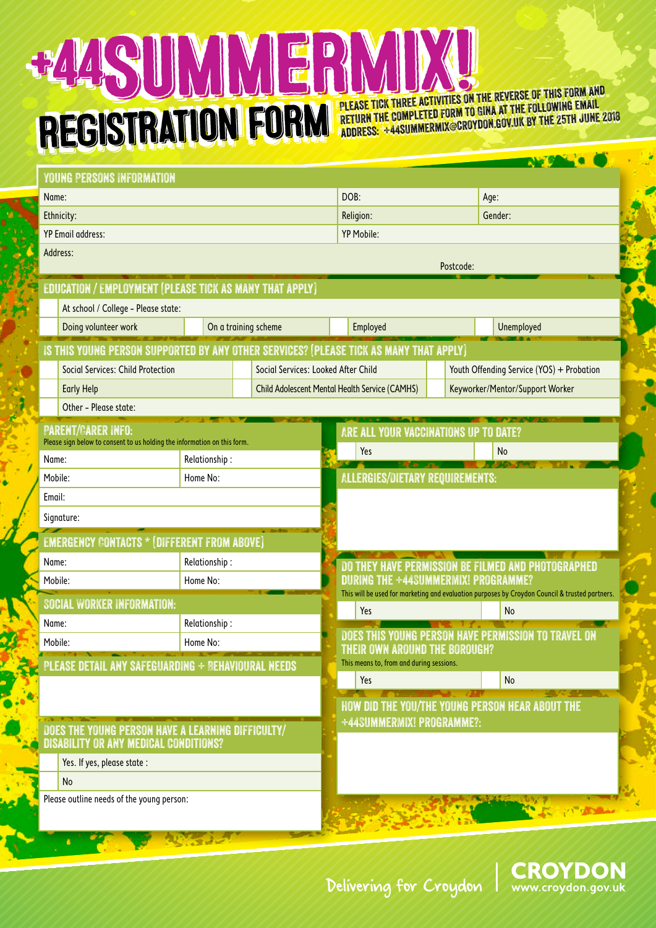## +448UMMER REGISTRATION FORM

PLEASE TICK THREE ACTIVITIES ON THE REVERSE OF THIS FORM AND PLEASE TICK THREE ACTIVITIES TO GINA AT THE FOLLOWING EMAIL<br>RETURN THE COMPLETED FORM TO GINA AT THE 1997 THE 25TH JUNE address: +44summermix@croydon.gov.uk by the 25th June 2018 **PLEASE TICK THREE ACTIVITIES ON THE REVERSE OF THIS FORM AND PLEASE TICK THREE ACTIVITIES ON THE REVERSE OF THIS FORM AND PLEASE TICK THREE ACTIVITIES ON THE ROUGH AT THE FOLLOWING EMAIL**<br>IRETURN THE COMPLETED FORM TO GINA AT THE FOLLOWING EMAIL RETURN THE COMPLETED FORM TO GINA AT THE 1999 CONDUCT 25TH JUNE 201 PLEASE TICK THREE ACTIVITIES ON GINA AT THE FOLLOWING EMAIL<br>RETURN THE COMPLETED FORM TO GINA AT THE FOLLOWING EMAIL address: +44summermix@croydon.gov.uk by the 25th June 2018

| LU COCO COLOR                                                                                         |                                                             |                                                                                                                                       |                                                                                          |                                                     | NEGAL O    |  |  |  |  |  |
|-------------------------------------------------------------------------------------------------------|-------------------------------------------------------------|---------------------------------------------------------------------------------------------------------------------------------------|------------------------------------------------------------------------------------------|-----------------------------------------------------|------------|--|--|--|--|--|
| <b>YOUNG PERSONS INFORMATION</b>                                                                      |                                                             |                                                                                                                                       |                                                                                          |                                                     |            |  |  |  |  |  |
| Name:                                                                                                 |                                                             |                                                                                                                                       | DOB:                                                                                     |                                                     | Age:       |  |  |  |  |  |
| Ethnicity:                                                                                            |                                                             |                                                                                                                                       | Religion:                                                                                |                                                     | Gender:    |  |  |  |  |  |
| <b>YP Email address:</b>                                                                              |                                                             |                                                                                                                                       | <b>YP Mobile:</b>                                                                        |                                                     |            |  |  |  |  |  |
| Address:                                                                                              |                                                             |                                                                                                                                       |                                                                                          |                                                     |            |  |  |  |  |  |
|                                                                                                       |                                                             |                                                                                                                                       | Postcode:                                                                                |                                                     |            |  |  |  |  |  |
| EDUCATION / EMPLOYMENT (PLEASE TICK AS MANY THAT APPLY)                                               |                                                             |                                                                                                                                       |                                                                                          |                                                     |            |  |  |  |  |  |
|                                                                                                       | At school / College - Please state:<br>On a training scheme |                                                                                                                                       |                                                                                          |                                                     |            |  |  |  |  |  |
| Doing volunteer work                                                                                  |                                                             |                                                                                                                                       | Employed                                                                                 |                                                     | Unemployed |  |  |  |  |  |
| IS THIS YOUNG PERSON SUPPORTED BY ANY OTHER SERVICES? (PLEASE TICK AS MANY THAT APPLY)                |                                                             |                                                                                                                                       |                                                                                          |                                                     |            |  |  |  |  |  |
| <b>Social Services: Child Protection</b><br>Social Services: Looked After Child                       |                                                             |                                                                                                                                       |                                                                                          | Youth Offending Service (YOS) + Probation           |            |  |  |  |  |  |
| <b>Early Help</b>                                                                                     |                                                             |                                                                                                                                       | <b>Child Adolescent Mental Health Service (CAMHS)</b><br>Keyworker/Mentor/Support Worker |                                                     |            |  |  |  |  |  |
| Other - Please state:                                                                                 |                                                             |                                                                                                                                       |                                                                                          |                                                     |            |  |  |  |  |  |
| <b>PARENT/CARER INFO:</b><br>Please sign below to consent to us holding the information on this form. |                                                             |                                                                                                                                       | ARE ALL YOUR VACCINATIONS UP TO DATE?                                                    |                                                     |            |  |  |  |  |  |
| Name:                                                                                                 | Relationship:                                               |                                                                                                                                       |                                                                                          | Yes<br>No                                           |            |  |  |  |  |  |
| Mobile:                                                                                               | Home No:                                                    |                                                                                                                                       | <b>ALLERGIES/DIETARY REQUIREMENTS:</b>                                                   |                                                     |            |  |  |  |  |  |
| Email:                                                                                                |                                                             |                                                                                                                                       |                                                                                          |                                                     |            |  |  |  |  |  |
| Signature:                                                                                            |                                                             |                                                                                                                                       |                                                                                          |                                                     |            |  |  |  |  |  |
|                                                                                                       |                                                             |                                                                                                                                       |                                                                                          |                                                     |            |  |  |  |  |  |
| <b>EMERGENCY CONTACTS * (DIFFERENT FROM ABOVE)</b><br>Name:                                           |                                                             |                                                                                                                                       |                                                                                          |                                                     |            |  |  |  |  |  |
| Mobile:                                                                                               | Relationship:<br>Home No:                                   |                                                                                                                                       | <u>DO THEY HAVE PERMISSION BE FILMED AND PHOTOGRAPHED</u>                                |                                                     |            |  |  |  |  |  |
|                                                                                                       |                                                             | DURING THE +44SUMMERMIX! PROGRAMME?<br>This will be used for marketing and evaluation purposes by Croydon Council & trusted partners. |                                                                                          |                                                     |            |  |  |  |  |  |
| <b>SOCIAL WORKER INFORMATION:</b>                                                                     |                                                             |                                                                                                                                       | Yes<br>No                                                                                |                                                     |            |  |  |  |  |  |
| Name:                                                                                                 | Relationship:<br>Home No:                                   |                                                                                                                                       |                                                                                          | DOES THIS YOUNG PERSON HAVE PERMISSION TO TRAVEL ON |            |  |  |  |  |  |
| Mobile:                                                                                               |                                                             | THEIR OWN AROUND THE BOROUGH?                                                                                                         |                                                                                          |                                                     |            |  |  |  |  |  |
| PLEASE DETAIL ANY SAFEGUARDING + BEHAVIOURAL NEEDS                                                    |                                                             |                                                                                                                                       | This means to, from and during sessions.                                                 |                                                     |            |  |  |  |  |  |
|                                                                                                       |                                                             |                                                                                                                                       | Yes                                                                                      |                                                     | No         |  |  |  |  |  |
|                                                                                                       |                                                             |                                                                                                                                       | <b>HOW DID THE YOU/THE YOUNG PERSON HEAR ABOUT THE</b>                                   |                                                     |            |  |  |  |  |  |
| DOES THE YOUNG PERSON HAVE A LEARNING DIFFICULTY/                                                     |                                                             |                                                                                                                                       | +44SUMMERMIX! PROGRAMME?:                                                                |                                                     |            |  |  |  |  |  |
| <b>DISABILITY OR ANY MEDICAL CONDITIONS?</b>                                                          |                                                             |                                                                                                                                       |                                                                                          |                                                     |            |  |  |  |  |  |
| Yes. If yes, please state :                                                                           |                                                             |                                                                                                                                       |                                                                                          |                                                     |            |  |  |  |  |  |
| <b>No</b>                                                                                             |                                                             |                                                                                                                                       |                                                                                          |                                                     |            |  |  |  |  |  |
| Please outline needs of the young person:                                                             |                                                             | TO TANK                                                                                                                               |                                                                                          |                                                     |            |  |  |  |  |  |
|                                                                                                       |                                                             |                                                                                                                                       |                                                                                          |                                                     |            |  |  |  |  |  |
|                                                                                                       |                                                             |                                                                                                                                       |                                                                                          |                                                     |            |  |  |  |  |  |